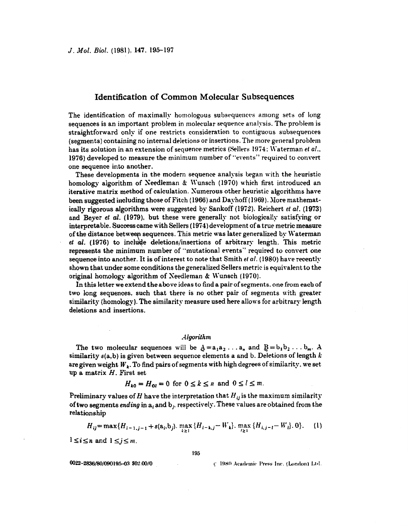## **Identification of Common Molecular Subsequences**

The identification of maximally homologous subsequences among sets of **long**  sequences is an important problem in tnolecular sequence analysis. The problem **is**  straightforward only if one restricts consideration to contiguous subsequences (segments) containing no internal deletions or insertions. The more general problem has its solution in an extension of sequence metrics (Sellers 1974; Waterman *et al..* **1976)** developed to measure the minimum number of "events" required to convert one sequence into another.

These developments in the modern sequence analysis began with the heuristic **homology** algorithm of Seedleman & Wunsch **(1970)** which first introduced **an**  iterative matrix method of calculation. Sumerous other heuristic algorithms have **been** suggested including those of Fitch **(1966)** and Dayhoff **(1969).** More mathernaticallg rigorous algorithms **were** suggested by Sankoff **(1972),** Reichert. *ef d.* **(1973)**  and Beyer *et al.* (1979), but these were generally not biologically satisfying or interpretable. Successcame with Sellers **(19i4)** development of a true metric measure **of** the distance betweef: sequences. This metric was later generalized **by** Waterman *et al.* **(1976)** to include deletions/insertions **of** arbitrary length. This metric represents the minimum number of "mutational events" required to convert one sequence into another. It is of interest to note that Smith *et al.* (1980) have recently shown that under some conditions the generalized Sellers metric is equivalent **to** the original homology algorithm of Needleman & Wunsch (1970).

In **this** letter we extend **the** above ideas to **find** a **pair** of segments. **one from each** of two **long** sequences. such that there is no other pair **of** segments with greater similarity (homology). The similarity measure used here allows for arbitrary length deletions and insertions.

## *=Ilgorithm*

The two molecular sequences will be  $A = a_1 a_2 \ldots a_n$  and  $B = b_1 b_2 \ldots b_m$ . A similarity s(a,b) **is** given between sequence elements a and **b.** Deletions **of** length **<sup>12</sup>** are given weight *W<sub>k</sub>*. To find pairs of segments with high degrees of similarity. we set.<br>up a matrix *H*. First set.<br> $H_{k0} = H_{0l} = 0$  for  $0 \le k \le n$  and  $0 \le l \le m$ . **up a** matrix *H.* First set

$$
H_{k0} = H_{0l} = 0
$$
 for  $0 \le k \le n$  and  $0 \le l \le m$ .

Preliminary values of *H* have the interpretation that  $H_{ij}$  is the maximum similarity **of two** segments *ading* in **ai and** bi. respectively. These values are obtained **from** the relationship

195

$$
H_{ij} = \max\{H_{i-1,j-1} + s(a_i, b_j), \max_{k \ge 1} \{H_{i-k,j} - W_k\}, \max_{l \ge 1} \{H_{i,j-l} - W_l\}, 0\}. \tag{1}
$$

 $1 \leq i \leq n$  and  $1 \leq j \leq m$ .

0022-2836/80/090195-03 \$02.00/0

C 1980 Academic Press Inc. (London) Ltd.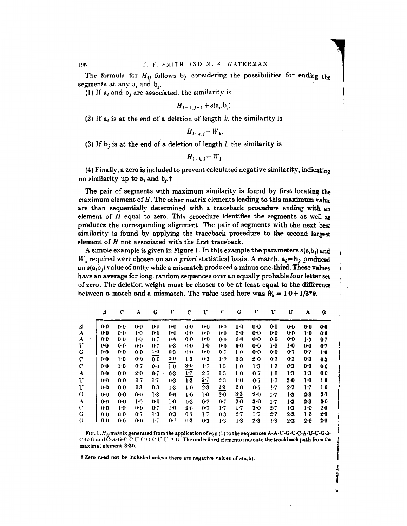**The formula for** *Hij* **follows by** considering the possibilities **for** ending the **(I)** If  $a_i$  and  $b_j$  are associated. the similarity is **I I I I s** 

$$
H_{i-1,j-1} + s(a_i, b_j).
$$

(2) If  $a_i$  is at the end of a deletion of length  $k$ , the similarity is

$$
H_{i-k,j} - W_k.
$$

**(3) If bj** is at the end **of** a deletion **of** length *1.* the similarity is

$$
H_{i-k,j} - W_{i}.
$$

**(4)** Finally, a zero is included to prevent calculated negative similarity, indicating **no** similarity **up** *to* ai and **bj.t** 

The **pair of** segments with maximum similarity is found **by** first locating the maximum element of  $H$ . The other matrix elements leading to this maximum value are than sequentially determined with a traceback procedure ending with **an**  element of  $H$  equal to zero. This procedure identifies the segments as well as produces **the** corresponding alignment. The pair **of** segments with the next **best**  similarity is found by applying the traceback procedure *to* the second **largest**  element of  $H$  not associated with the first traceback.

A simple example is given in Figure 1. In this example the parameters  $s(a,b)$  and  $W_k$  required were chosen on an *a priori* statistical basis. A match,  $a_i = b_j$ , produced an  $s(a,b)$  value of unity while a mismatch produced a minus one-third. These values have **an** average for long, random sequences **over** an equally probable four **letter set** , of zero. The deletion weight must be chosen to be at least equal to the difference between a match and a mismatch. The value used here was  $W_k = 1 \cdot 0 + 1/3 * k$ .

|    | 4       | C       | A.             | G              | $\mathcal{C}$ | c              | v       | Ċ       | G              | C       | v       | U       | A       | G     |  |
|----|---------|---------|----------------|----------------|---------------|----------------|---------|---------|----------------|---------|---------|---------|---------|-------|--|
| ⊿  | $0-0$   | $0 - 0$ | 0.0            | 0 <sub>0</sub> | 0.0           | 0.0            | 0.0     | 00      | 0 <sub>0</sub> | 0.0     | 0.0     | $0-0$   | $0-0$   | $0-0$ |  |
| A. | $0 - 0$ | 04      | $1-0$          | 0:0            | 00            | 0 <sub>0</sub> | (1)     | 00      | 0:0            | $0-0$   | $0-0$   | 0.0     | ŀ0      | 00    |  |
| A. | 00      | 0.0     | $1-0$          | 0.7            | $0 - 0$       | $0 - 0$        | ()·()   | ()-1)   | 00             | $0 - 0$ | $0-0$   | 0.0     | 1.0     | 0.7   |  |
| ſ. | 00      | 00      | 0.0            | $0-7$          | 0.3           | $( )-()$       | $1-0$   | $(1-1)$ | $0-0$          | 0.0     | 1.O     | ŀO      | $0 - 0$ | 0.7   |  |
| G  | 00      | 0.0     | 0.0            | 1.0            | $0-3$         | $0-0$          | 0.0     | 0.7     | $1-0$          | $0-0$   | $0-0$   | 0.7     | $0-7$   | 10    |  |
| C  | $0-0$   | 1.0     | $0-0$          | $0 - 0$        | $2-0$         | $1-3$          | 0.3     | ŀО      | $0-3$          | $2 - 0$ | 0.7     | 0.3     | 0.3     | $0-3$ |  |
| C  | 0-0     | $1-0$   | 0.7            | 0 <sub>0</sub> | 1.0           | $3-0$          | 1.7     | $1-3$   | $1-0$          | 1.3     | 1.7     | 0.3     | 00      | 00    |  |
| A  | $0 - 0$ | $0-0$   | 2.0            | $0-7$          | $0-3$         | $1-7$          | $2 - 7$ | $1-3$   | $1-0$          | 0.7     | ŀО      | 13      | $1-3$   | 0.0   |  |
| U  | 0.0     | $0-0$   | 0.7            | 1.7            | $0-3$         | $1-3$          | $2 - 7$ | 2.3     | $1-0$          | 0.7     | 1.7     | $2 - 0$ | $1-0$   | 1.0   |  |
| v  | $(+()$  | 0.0     | 0.3            | $0-3$          | $1-3$         | l-0            | 2.3     | 2.3     | 2.0            | 0.7     | $1-7$   | $2 - 7$ | $1-7$   | 1.0   |  |
| G  | $(r_0)$ | 0.0     | 0 <sub>0</sub> | 1.3            | $0 - 0$       | $1-0$          | 1·0     | 2.0     | 3.3            | 2.0     | 1.7     | 1.3     | $2-3$   | $2-7$ |  |
| A  | 0-0     | $0 - 0$ | 1.0            | $0-0$          | $1-0$         | $0-3$          | $0 - 7$ | $0-7$   | $2 - 0$        | $3 - 0$ | $1-7$   | $1-3$   | 2.3     | 2.0   |  |
| C  | $0-0$   | $1-0$   | 00             | の・7            | $1 - 0$       | $2-0$          | 0.7     | $1-7$   | $1-7$          | 3.0     | $2-7$   | 1.3     | ŀО      | 20    |  |
| G  | 0.0     | $0 - 0$ | 0.7            | 10             | 0.3           | $0 - 7$        | 17      | 0.3     | $2-7$          | $1-7$   | $2 - 7$ | $2 - 3$ | ŀ0      | 2.0   |  |
| G  | $0-0$   | $0-0$   | $0-0$          | 1.7            | $0 - 7$       | 0.3            | 0.3     | 1.3     | 1.3            | 2.3     | 1-3     | 2.3     | $2 - 0$ | 2-0   |  |

**FIG. 1.**  $H_{ii}$  **matrix generated from the application of eqn (1) to the sequences A-A-U-G-C-C-A-U-U-G-A-** $(^{r}G\cdot G$  and  $\dot{C}$ -A-G-C-C-U-C-G-C-U-U-A-G. The underlined elements indicate the trackback path from the maximal element  $3:30$ . **h**<br>*I* **Zero need not be included unless there are negative values of**  $s(a,b)$ **.**  $\overline{\phantom{a}}$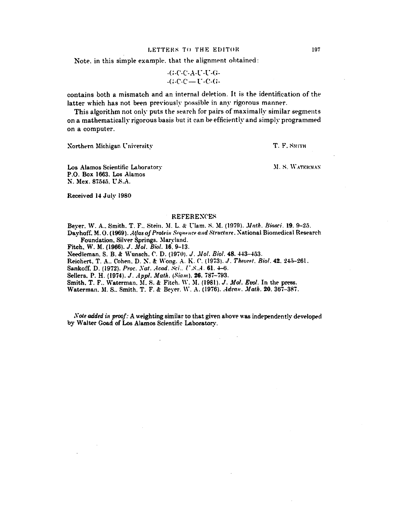## LETTERS TO THE EDITOR

Note, in this simple example, that the alignment obtained:

$$
-G\text{-}C\text{-}A\text{-}U\text{-}C\text{-}G\text{-}
$$
  

$$
-(G\text{-}C\text{-}C\text{-}U\text{-}C\text{-}G\text{-}
$$

contains both a mismatch and an internal deletion. It is the identification of the latter which has not been previously possible in any rigorous manner.

This algorithm not only puts the search for pairs of maximally similar segments on a mathematically rigorous basis but it can be efficiently and simply programmed on a computer.

Northern Michigan University

T. F. SMITH

M. S. WATERMAN

Los Alamos Scientific Laboratory P.O. Box 1663, Los Alamos N. Mex. 87545. U.S.A.

Received 14 July 1980

## **REFERENCES**

Bever, W. A., Smith, T. F., Stein, M. L. & Ulam, S. M. (1979). *Math. Biosci*. 19, 9-25. Dayhoff, M.O. (1969). Atlas of Protein Sequence and Structure. National Biomedical Research

Foundation, Silver Springs, Maryland. Fitch, W. M. (1966). J. Mol. Biol. 16, 9-13.

Needleman, S. B. & Wunsch, C. D. (1970). J. Mol. Biol. 48. 443-453.

 $\overline{a}$ 

Reichert, T. A., Cohen, D. N. & Wong, A. K. C. (1973). J. Theoret. Biol. 42, 245-261.

Sankoff, D. (1972). Proc. Nat. Acad. Sci., U.S.A. 61. 4-6.

Sellers, P. H. (1974). J. Appl. Math. (Siam). 26. 787-793.

Smith, T. F., Waterman, M. S. & Fitch, W. M. (1981). J. Mol. Evol. In the press.

Waterman, M. S., Smith, T. F. & Beyer, W. A. (1976). Advan. Math. 20, 367-387.

Note added in proof: A weighting similar to that given above was independently developed by Walter Goad of Los Alamos Scientific Laboratory.